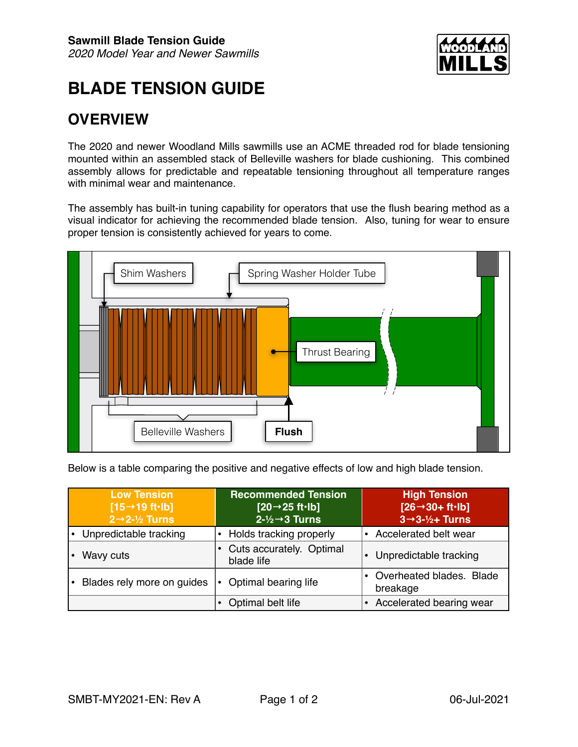

## **BLADE TENSION GUIDE**

## **OVERVIEW**

The 2020 and newer Woodland Mills sawmills use an ACME threaded rod for blade tensioning mounted within an assembled stack of Belleville washers for blade cushioning. This combined assembly allows for predictable and repeatable tensioning throughout all temperature ranges with minimal wear and maintenance.

The assembly has built-in tuning capability for operators that use the flush bearing method as a visual indicator for achieving the recommended blade tension. Also, tuning for wear to ensure proper tension is consistently achieved for years to come.



Below is a table comparing the positive and negative effects of low and high blade tension.

| <b>Low Tension</b><br>$[15 \rightarrow 19$ ft $\cdot$ lb]<br>$2 \rightarrow 2\frac{1}{2}$ Turns | <b>Recommended Tension</b><br>$[20 \rightarrow 25$ ft $\cdot$ lb]<br>$2-y_2 \rightarrow 3$ Turns | <b>High Tension</b><br>$[26 \rightarrow 30 + ft \cdot lb]$<br>$3 \rightarrow 3 - \frac{1}{2} +$ Turns |
|-------------------------------------------------------------------------------------------------|--------------------------------------------------------------------------------------------------|-------------------------------------------------------------------------------------------------------|
| Unpredictable tracking                                                                          | • Holds tracking properly                                                                        | Accelerated belt wear<br>$\bullet$                                                                    |
| Wavy cuts                                                                                       | • Cuts accurately. Optimal<br>blade life                                                         | Unpredictable tracking<br>$\bullet$                                                                   |
| Blades rely more on guides                                                                      | Optimal bearing life                                                                             | Overheated blades. Blade<br>$\bullet$<br>breakage                                                     |
|                                                                                                 | Optimal belt life                                                                                | Accelerated bearing wear                                                                              |